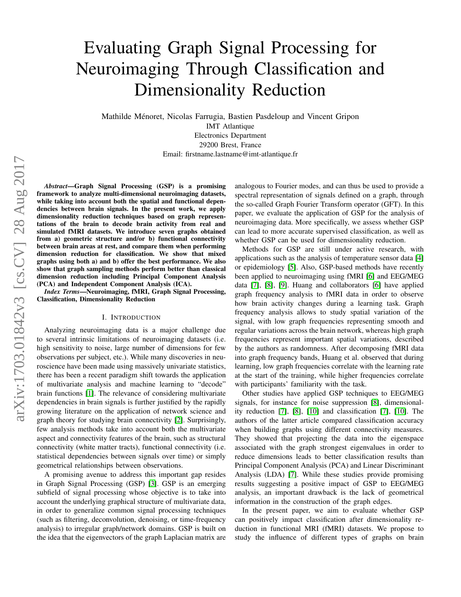# Evaluating Graph Signal Processing for Neuroimaging Through Classification and Dimensionality Reduction

Mathilde Ménoret, Nicolas Farrugia, Bastien Pasdeloup and Vincent Gripon

IMT Atlantique

Electronics Department 29200 Brest, France Email: firstname.lastname@imt-atlantique.fr

*Abstract*—Graph Signal Processing (GSP) is a promising framework to analyze multi-dimensional neuroimaging datasets, while taking into account both the spatial and functional dependencies between brain signals. In the present work, we apply dimensionality reduction techniques based on graph representations of the brain to decode brain activity from real and simulated fMRI datasets. We introduce seven graphs obtained from a) geometric structure and/or b) functional connectivity between brain areas at rest, and compare them when performing dimension reduction for classification. We show that mixed graphs using both a) and b) offer the best performance. We also show that graph sampling methods perform better than classical dimension reduction including Principal Component Analysis (PCA) and Independent Component Analysis (ICA).

*Index Terms*—Neuroimaging, fMRI, Graph Signal Processing, Classification, Dimensionality Reduction

#### I. INTRODUCTION

Analyzing neuroimaging data is a major challenge due to several intrinsic limitations of neuroimaging datasets (i.e. high sensitivity to noise, large number of dimensions for few observations per subject, etc.). While many discoveries in neuroscience have been made using massively univariate statistics, there has been a recent paradigm shift towards the application of multivariate analysis and machine learning to "decode" brain functions [\[1\]](#page-3-0). The relevance of considering multivariate dependencies in brain signals is further justified by the rapidly growing literature on the application of network science and graph theory for studying brain connectivity [\[2\]](#page-3-1). Surprisingly, few analysis methods take into account both the multivariate aspect and connectivity features of the brain, such as structural connectivity (white matter tracts), functional connectivity (i.e. statistical dependencies between signals over time) or simply geometrical relationships between observations.

A promising avenue to address this important gap resides in Graph Signal Processing (GSP) [\[3\]](#page-4-0). GSP is an emerging subfield of signal processing whose objective is to take into account the underlying graphical structure of multivariate data, in order to generalize common signal processing techniques (such as filtering, deconvolution, denoising, or time-frequency analysis) to irregular graph/network domains. GSP is built on the idea that the eigenvectors of the graph Laplacian matrix are analogous to Fourier modes, and can thus be used to provide a spectral representation of signals defined on a graph, through the so-called Graph Fourier Transform operator (GFT). In this paper, we evaluate the application of GSP for the analysis of neuroimaging data. More specifically, we assess whether GSP can lead to more accurate supervised classification, as well as whether GSP can be used for dimensionality reduction.

Methods for GSP are still under active research, with applications such as the analysis of temperature sensor data [\[4\]](#page-4-1) or epidemiology [\[5\]](#page-4-2). Also, GSP-based methods have recently been applied to neuroimaging using fMRI [\[6\]](#page-4-3) and EEG/MEG data [\[7\]](#page-4-4), [\[8\]](#page-4-5), [\[9\]](#page-4-6). Huang and collaborators [\[6\]](#page-4-3) have applied graph frequency analysis to fMRI data in order to observe how brain activity changes during a learning task. Graph frequency analysis allows to study spatial variation of the signal, with low graph frequencies representing smooth and regular variations across the brain network, whereas high graph frequencies represent important spatial variations, described by the authors as randomness. After decomposing fMRI data into graph frequency bands, Huang et al. observed that during learning, low graph frequencies correlate with the learning rate at the start of the training, while higher frequencies correlate with participants' familiarity with the task.

Other studies have applied GSP techniques to EEG/MEG signals, for instance for noise suppression [\[8\]](#page-4-5), dimensionality reduction [\[7\]](#page-4-4), [\[8\]](#page-4-5), [\[10\]](#page-4-7) and classification [\[7\]](#page-4-4), [\[10\]](#page-4-7). The authors of the latter article compared classification accuracy when building graphs using different connectivity measures. They showed that projecting the data into the eigenspace associated with the graph strongest eigenvalues in order to reduce dimensions leads to better classification results than Principal Component Analysis (PCA) and Linear Discriminant Analysis (LDA) [\[7\]](#page-4-4). While these studies provide promising results suggesting a positive impact of GSP to EEG/MEG analysis, an important drawback is the lack of geometrical information in the construction of the graph edges.

In the present paper, we aim to evaluate whether GSP can positively impact classification after dimensionality reduction in functional MRI (fMRI) datasets. We propose to study the influence of different types of graphs on brain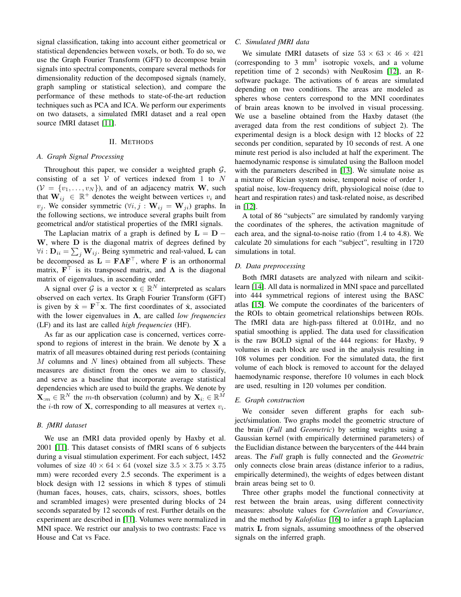signal classification, taking into account either geometrical or statistical dependencies between voxels, or both. To do so, we use the Graph Fourier Transform (GFT) to decompose brain signals into spectral components, compare several methods for dimensionality reduction of the decomposed signals (namely, graph sampling or statistical selection), and compare the performance of these methods to state-of-the-art reduction techniques such as PCA and ICA. We perform our experiments on two datasets, a simulated fMRI dataset and a real open source fMRI dataset [\[11\]](#page-4-8).

## II. METHODS

## *A. Graph Signal Processing*

Throughout this paper, we consider a weighted graph  $G$ , consisting of a set  $V$  of vertices indexed from 1 to  $N$  $(V = \{v_1, \ldots, v_N\})$ , and of an adjacency matrix **W**, such that  $\overline{\mathbf{W}}_{ij} \in \mathbb{R}^+$  denotes the weight between vertices  $v_i$  and  $v_j$ . We consider symmetric  $(\forall i, j : \mathbf{W}_{ij} = \mathbf{W}_{ji})$  graphs. In the following sections, we introduce several graphs built from geometrical and/or statistical properties of the fMRI signals.

The Laplacian matrix of a graph is defined by  $L = D -$ W, where D is the diagonal matrix of degrees defined by  $\forall i : \mathbf{D}_{ii} = \sum_j \mathbf{W}_{ij}$ . Being symmetric and real-valued, L can be decomposed as  $\mathbf{L} = \mathbf{F} \mathbf{\Lambda} \mathbf{F}^{\top}$ , where **F** is an orthonormal matrix,  $F^{\top}$  is its transposed matrix, and  $\Lambda$  is the diagonal matrix of eigenvalues, in ascending order.

A signal over G is a vector  $\mathbf{x} \in \mathbb{R}^N$  interpreted as scalars observed on each vertex. Its Graph Fourier Transform (GFT) is given by  $\hat{\mathbf{x}} = \mathbf{F}^{\top} \mathbf{x}$ . The first coordinates of  $\hat{\mathbf{x}}$ , associated with the lower eigenvalues in Λ, are called *low frequencies* (LF) and its last are called *high frequencies* (HF).

As far as our application case is concerned, vertices correspond to regions of interest in the brain. We denote by  $X$  a matrix of all measures obtained during rest periods (containing  $M$  columns and  $N$  lines) obtained from all subjects. These measures are distinct from the ones we aim to classify, and serve as a baseline that incorporate average statistical dependencies which are used to build the graphs. We denote by  $\mathbf{X}_{:m} \in \mathbb{R}^{N}$  the *m*-th observation (column) and by  $\mathbf{X}_{i:} \in \mathbb{R}^{M}$ the *i*-th row of **X**, corresponding to all measures at vertex  $v_i$ .

#### *B. fMRI dataset*

We use an fMRI data provided openly by Haxby et al. 2001 [\[11\]](#page-4-8). This dataset consists of fMRI scans of 6 subjects during a visual stimulation experiment. For each subject, 1452 volumes of size  $40 \times 64 \times 64$  (voxel size  $3.5 \times 3.75 \times 3.75$ mm) were recorded every 2.5 seconds. The experiment is a block design with 12 sessions in which 8 types of stimuli (human faces, houses, cats, chairs, scissors, shoes, bottles and scrambled images) were presented during blocks of 24 seconds separated by 12 seconds of rest. Further details on the experiment are described in [\[11\]](#page-4-8). Volumes were normalized in MNI space. We restrict our analysis to two contrasts: Face vs House and Cat vs Face.

# *C. Simulated fMRI data*

We simulate fMRI datasets of size  $53 \times 63 \times 46 \times 421$ (corresponding to  $3 \text{ mm}^3$  isotropic voxels, and a volume repetition time of 2 seconds) with NeuRosim [\[12\]](#page-4-9), an Rsoftware package. The activations of 6 areas are simulated depending on two conditions. The areas are modeled as spheres whose centers correspond to the MNI coordinates of brain areas known to be involved in visual processing. We use a baseline obtained from the Haxby dataset (the averaged data from the rest conditions of subject 2). The experimental design is a block design with 12 blocks of 22 seconds per condition, separated by 10 seconds of rest. A one minute rest period is also included at half the experiment. The haemodynamic response is simulated using the Balloon model with the parameters described in [\[13\]](#page-4-10). We simulate noise as a mixture of Rician system noise, temporal noise of order 1, spatial noise, low-frequency drift, physiological noise (due to heart and respiration rates) and task-related noise, as described in [\[12\]](#page-4-9).

A total of 86 "subjects" are simulated by randomly varying the coordinates of the spheres, the activation magnitude of each area, and the signal-to-noise ratio (from 1.4 to 4.8). We calculate 20 simulations for each "subject", resulting in 1720 simulations in total.

## *D. Data preprocessing*

Both fMRI datasets are analyzed with nilearn and scikitlearn [\[14\]](#page-4-11). All data is normalized in MNI space and parcellated into 444 symmetrical regions of interest using the BASC atlas [\[15\]](#page-4-12). We compute the coordinates of the baricenters of the ROIs to obtain geometrical relationships between ROIs. The fMRI data are high-pass filtered at 0.01Hz, and no spatial smoothing is applied. The data used for classification is the raw BOLD signal of the 444 regions: for Haxby, 9 volumes in each block are used in the analysis resulting in 108 volumes per condition. For the simulated data, the first volume of each block is removed to account for the delayed haemodynamic response, therefore 10 volumes in each block are used, resulting in 120 volumes per condition.

#### *E. Graph construction*

We consider seven different graphs for each subject/simulation. Two graphs model the geometric structure of the brain (*Full* and *Geometric*) by setting weights using a Gaussian kernel (with empirically determined parameters) of the Euclidian distance between the barycenters of the 444 brain areas. The *Full* graph is fully connected and the *Geometric* only connects close brain areas (distance inferior to a radius, empirically determined), the weights of edges between distant brain areas being set to 0.

Three other graphs model the functional connectivity at rest between the brain areas, using different connectivity measures: absolute values for *Correlation* and *Covariance*, and the method by *Kalofolias* [\[16\]](#page-4-13) to infer a graph Laplacian matrix L from signals, assuming smoothness of the observed signals on the inferred graph.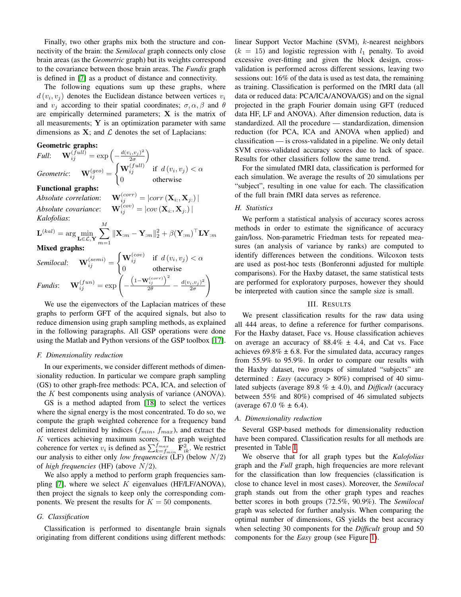Finally, two other graphs mix both the structure and connectivity of the brain: the *Semilocal* graph connects only close brain areas (as the *Geometric* graph) but its weights correspond to the covariance between those brain areas. The *Fundis* graph is defined in [\[7\]](#page-4-4) as a product of distance and connectivity.

The following equations sum up these graphs, where  $d(v_i, v_j)$  denotes the Euclidean distance between vertices  $v_i$ and  $v_i$  according to their spatial coordinates;  $\sigma$ ,  $\alpha$ ,  $\beta$  and  $\theta$ are empirically determined parameters;  $X$  is the matrix of all measurements;  $Y$  is an optimization parameter with same dimensions as  $X$ ; and  $\mathcal L$  denotes the set of Laplacians:

## Geometric graphs:

$$
\text{Full:} \quad \mathbf{W}_{ij}^{\left(\tilde{f}^{ull}\right)} = \exp\left(-\frac{d(v_i, v_j)^2}{2\sigma}\right)
$$
\n
$$
\text{Geometric:} \quad \mathbf{W}_{ij}^{\left(geo\right)} = \begin{cases} \mathbf{W}_{ij}^{\left(full\right)} & \text{if } d(v_i, v_j) < \alpha \\ 0 & \text{otherwise} \end{cases}
$$

## Functional graphs:

 $A$ *bsolute correlation*:  $\hat{r}_{ij}^{(corr)} = |corr\left(\mathbf{X}_{i:}, \mathbf{X}_{j:}\right)|$ *Absolute covariance*:  $\mathcal{E}^{(cov)}_{ij} = |cov\left(\mathbf{X}_{i:}, \mathbf{X}_{j:}\right)|$ 

*Kalofolias*:  $\mathbf{L}^{(kal)} = \arg \min_{\mathbf{L} \in \mathcal{L}, \mathbf{Y}}$  $\sum^M$  $m=1$  $\|\mathbf{X}_{:m} - \mathbf{Y}_{:m}\|_2^2 + \beta(\mathbf{Y}_{:m})^{\top}\mathbf{L}\mathbf{Y}_{:m}$ 

## Mixed graphs:

 $Semilocal:$   $\mathbf{W}_{ij}^{(semi)} =$  $\int \mathbf{W}_{ij}^{(cov)}$  if  $d(v_i, v_j) < \alpha$ 0 otherwise *Fundis*:  $\mathbf{W}_{ij}^{(fun)} = \exp \left(-\frac{\left(1-\mathbf{W}_{ij}^{(corr)}\right)^2}{2\theta}\right)$  $\frac{d(v_i, v_j)^2}{2\theta} - \frac{d(v_i, v_j)^2}{2\sigma}$  $2\sigma$  $\setminus$ 

We use the eigenvectors of the Laplacian matrices of these graphs to perform GFT of the acquired signals, but also to reduce dimension using graph sampling methods, as explained in the following paragraphs. All GSP operations were done using the Matlab and Python versions of the GSP toolbox [\[17\]](#page-4-14).

#### *F. Dimensionality reduction*

In our experiments, we consider different methods of dimensionality reduction. In particular we compare graph sampling (GS) to other graph-free methods: PCA, ICA, and selection of the  $K$  best components using analysis of variance (ANOVA).

GS is a method adapted from [\[18\]](#page-4-15) to select the vertices where the signal energy is the most concentrated. To do so, we compute the graph weighted coherence for a frequency band of interest delimited by indices  $(f_{min}, f_{max})$ , and extract the  $K$  vertices achieving maximum scores. The graph weighted coherence for vertex  $v_i$  is defined as  $\sum_{k=f_{min}}^{f_{max}} \mathbf{F}_{ik}^2$ . We restrict our analysis to either only *low frequencies* (LF) (below N/2) of *high frequencies* (HF) (above N/2).

We also apply a method to perform graph frequencies sam-pling [\[7\]](#page-4-4), where we select  $K$  eigenvalues (HF/LF/ANOVA), then project the signals to keep only the corresponding components. We present the results for  $K = 50$  components.

## *G. Classification*

Classification is performed to disentangle brain signals originating from different conditions using different methods: linear Support Vector Machine (SVM), k-nearest neighbors  $(k = 15)$  and logistic regression with  $l_1$  penalty. To avoid excessive over-fitting and given the block design, crossvalidation is performed across different sessions, leaving two sessions out: 16% of the data is used as test data, the remaining as training. Classification is performed on the fMRI data (all data or reduced data: PCA/ICA/ANOVA/GS) and on the signal projected in the graph Fourier domain using GFT (reduced data HF, LF and ANOVA). After dimension reduction, data is standardized. All the procedure — standardization, dimension reduction (for PCA, ICA and ANOVA when applied) and classification — is cross-validated in a pipeline. We only detail SVM cross-validated accuracy scores due to lack of space. Results for other classifiers follow the same trend.

For the simulated fMRI data, classification is performed for each simulation. We average the results of 20 simulations per "subject", resulting in one value for each. The classification of the full brain fMRI data serves as reference.

## *H. Statistics*

We perform a statistical analysis of accuracy scores across methods in order to estimate the significance of accuracy gain/loss. Non-parametric Friedman tests for repeated measures (an analysis of variance by ranks) are computed to identify differences between the conditions. Wilcoxon tests are used as post-hoc tests (Bonferonni adjusted for multiple comparisons). For the Haxby dataset, the same statistical tests are performed for exploratory purposes, however they should be interpreted with caution since the sample size is small.

#### III. RESULTS

We present classification results for the raw data using all 444 areas, to define a reference for further comparisons. For the Haxby dataset, Face vs. House classification achieves on average an accuracy of  $88.4\% \pm 4.4$ , and Cat vs. Face achieves  $69.8\% \pm 6.8$ . For the simulated data, accuracy ranges from 55.9% to 95.9%. In order to compare our results with the Haxby dataset, two groups of simulated "subjects" are determined : *Easy* (accuracy > 80%) comprised of 40 simulated subjects (average 89.8 % ± 4.0), and *Difficult* (accuracy between 55% and 80%) comprised of 46 simulated subjects (average 67.0 %  $\pm$  6.4).

#### *A. Dimensionality reduction*

Several GSP-based methods for dimensionality reduction have been compared. Classification results for all methods are presented in Table [I.](#page-3-2)

We observe that for all graph types but the *Kalofolias* graph and the *Full* graph, high frequencies are more relevant for the classification than low frequencies (classification is close to chance level in most cases). Moreover, the *Semilocal* graph stands out from the other graph types and reaches better scores in both groups (72.5%, 90.9%). The *Semilocal* graph was selected for further analysis. When comparing the optimal number of dimensions, GS yields the best accuracy when selecting 30 components for the *Difficult* group and 50 components for the *Easy* group (see Figure [1\)](#page-3-3).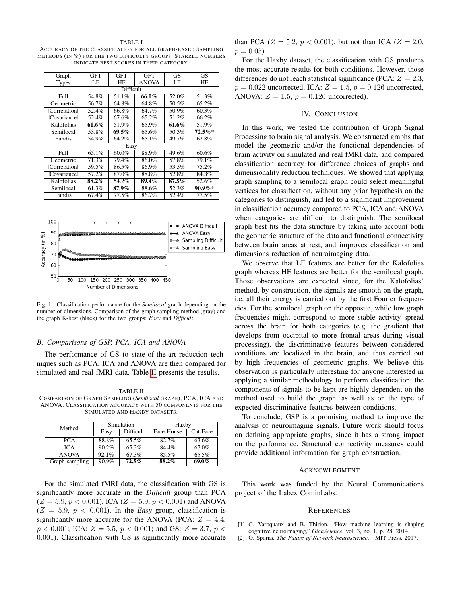#### TABLE I

<span id="page-3-2"></span>ACCURACY OF THE CLASSIFICATION FOR ALL GRAPH-BASED SAMPLING METHODS (IN %) FOR THE TWO DIFFICULTY GROUPS. STARRED NUMBERS INDICATE BEST SCORES IN THEIR CATEGORY.

| Graph                     | <b>GFT</b> | <b>GFT</b> | <b>GFT</b>          | GS       | GS        |  |  |  |
|---------------------------|------------|------------|---------------------|----------|-----------|--|--|--|
| <b>Types</b>              | LF         | ΗF         | <b>ANOVA</b>        | LF       | HF        |  |  |  |
| Difficult                 |            |            |                     |          |           |  |  |  |
| Full                      | 54.8%      | 51.1%      | 66.0%               | 52.0%    | 51.3%     |  |  |  |
| Geometric                 | 56.7%      | 64.8%      | 64.8%               | 50.5%    | 65.2%     |  |  |  |
| <b>Correlation</b>        | 52.4%      | 66.8%      | 64.7%               | 50.9%    | 60.3%     |  |  |  |
| <i><b>Covariancel</b></i> | 52.4%      | 67.6%      | 65.2%               | 51.2%    | 66.2%     |  |  |  |
| Kalofolias                | 61.6%      | 51.9%      | 65.9%               | 61.6%    | 51.9%     |  |  |  |
| Semilocal                 | 53.8%      | $69.5\%$   | 65.6%               | 50.3%    | $72.5\%*$ |  |  |  |
| <b>Fundis</b>             | 54.9%      | 64.2%      | $65.\overline{1\%}$ | 49.7%    | 62.8%     |  |  |  |
| Easy                      |            |            |                     |          |           |  |  |  |
| Full                      | $65.1\%$   | 60.0%      | 88.9%               | 49.6%    | 60.6%     |  |  |  |
| Geometric                 | 71.3%      | 79.4%      | 86.0%               | 57.8%    | 79.1%     |  |  |  |
| <b>Correlation</b>        | 59.5%      | 86.5%      | 86.9%               | 53.5%    | 75.2%     |  |  |  |
| lCovariancel              | 57.2%      | 87.0%      | 88.8%               | 52.8%    | 84.8%     |  |  |  |
| Kalofolias                | 88.2%      | 54.2%      | 89.4%               | $87.5\%$ | 52.6%     |  |  |  |
| Semilocal                 | 61.3%      | 87.9%      | 88.6%               | 52.3%    | $90.9\%*$ |  |  |  |
| Fundis                    | 67.4%      | 77.5%      | 86.7%               | 52.4%    | 77.5%     |  |  |  |



<span id="page-3-3"></span>Fig. 1. Classification performance for the *Semilocal* graph depending on the number of dimensions. Comparison of the graph sampling method (gray) and the graph K-best (black) for the two groups: *Easy* and *Difficult*.

## *B. Comparisons of GSP, PCA, ICA and ANOVA*

The performance of GS to state-of-the-art reduction techniques such as PCA, ICA and ANOVA are then compared for simulated and real fMRI data. Table [II](#page-3-4) presents the results.

<span id="page-3-4"></span>TABLE II COMPARISON OF GRAPH SAMPLING (*Semilocal* GRAPH), PCA, ICA AND ANOVA. CLASSIFICATION ACCURACY WITH 50 COMPONENTS FOR THE SIMULATED AND HAXBY DATASETS.

| Method         | Simulation |                  | Haxby      |          |
|----------------|------------|------------------|------------|----------|
|                | Easy       | <b>Difficult</b> | Face-House | Cat-Face |
| <b>PCA</b>     | 88.8%      | 65.5%            | 82.7%      |          |
|                |            |                  |            | 63.6%    |
| <b>ICA</b>     | 90.2%      | 65.3%            | 84.4%      | 67.0%    |
| <b>ANOVA</b>   | $92.1\%$   | 67.3%            | $85.5\%$   | 65.5%    |
| Graph sampling | 90.9%      | $72.5\%$         | 88.2%      | $69.0\%$ |

For the simulated fMRI data, the classification with GS is significantly more accurate in the *Difficult* group than PCA  $(Z = 5.9, p < 0.001)$ , ICA  $(Z = 5.9, p < 0.001)$  and ANOVA  $(Z = 5.9, p < 0.001)$ . In the *Easy* group, classification is significantly more accurate for the ANOVA (PCA:  $Z = 4.4$ ,  $p < 0.001$ ; ICA:  $Z = 5.5$ ,  $p < 0.001$ ; and GS:  $Z = 3.7$ ,  $p <$ 0.001). Classification with GS is significantly more accurate

than PCA ( $Z = 5.2$ ,  $p < 0.001$ ), but not than ICA ( $Z = 2.0$ ,  $p = 0.05$ .

For the Haxby dataset, the classification with GS produces the most accurate results for both conditions. However, those differences do not reach statistical significance (PCA:  $Z = 2.3$ ,  $p = 0.022$  uncorrected, ICA:  $Z = 1.5$ ,  $p = 0.126$  uncorrected, ANOVA:  $Z = 1.5$ ,  $p = 0.126$  uncorrected).

## IV. CONCLUSION

In this work, we tested the contribution of Graph Signal Processing to brain signal analysis. We constructed graphs that model the geometric and/or the functional dependencies of brain activity on simulated and real fMRI data, and compared classification accuracy for difference choices of graphs and dimensionality reduction techniques. We showed that applying graph sampling to a semilocal graph could select meaningful vertices for classification, without any prior hypothesis on the categories to distinguish, and led to a significant improvement in classification accuracy compared to PCA, ICA and ANOVA when categories are difficult to distinguish. The semilocal graph best fits the data structure by taking into account both the geometric structure of the data and functional connectivity between brain areas at rest, and improves classification and dimensions reduction of neuroimaging data.

We observe that LF features are better for the Kalofolias graph whereas HF features are better for the semilocal graph. Those observations are expected since, for the Kalofolias' method, by construction, the signals are smooth on the graph, i.e. all their energy is carried out by the first Fourier frequencies. For the semilocal graph on the opposite, while low graph frequencies might correspond to more stable activity spread across the brain for both categories (e.g. the gradient that develops from occipital to more frontal areas during visual processing), the discriminative features between considered conditions are localized in the brain, and thus carried out by high frequencies of geometric graphs. We believe this observation is particularly interesting for anyone interested in applying a similar methodology to perform classification: the components of signals to be kept are highly dependent on the method used to build the graph, as well as on the type of expected discriminative features between conditions.

To conclude, GSP is a promising method to improve the analysis of neuroimaging signals. Future work should focus on defining appropriate graphs, since it has a strong impact on the performance. Structural connectivity measures could provide additional information for graph construction.

## ACKNOWLEGMENT

This work was funded by the Neural Communications project of the Labex CominLabs.

#### **REFERENCES**

- <span id="page-3-0"></span>[1] G. Varoquaux and B. Thirion, "How machine learning is shaping cognitive neuroimaging," *GigaScience*, vol. 3, no. 1, p. 28, 2014.
- <span id="page-3-1"></span>[2] O. Sporns, *The Future of Network Neuroscience*. MIT Press, 2017.